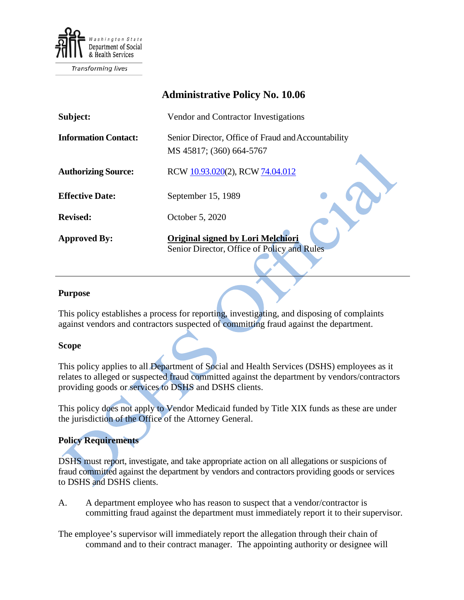

**Transforming lives** 

| <b>Administrative Policy No. 10.06</b> |                                                                                         |
|----------------------------------------|-----------------------------------------------------------------------------------------|
| Subject:                               | Vendor and Contractor Investigations                                                    |
| <b>Information Contact:</b>            | Senior Director, Office of Fraud and Accountability<br>MS 45817; (360) 664-5767         |
| <b>Authorizing Source:</b>             | RCW 10.93.020(2), RCW 74.04.012                                                         |
| <b>Effective Date:</b>                 | September 15, 1989                                                                      |
| <b>Revised:</b>                        | October 5, 2020                                                                         |
| <b>Approved By:</b>                    | <b>Original signed by Lori Melchiori</b><br>Senior Director, Office of Policy and Rules |

## **Purpose**

This policy establishes a process for reporting, investigating, and disposing of complaints against vendors and contractors suspected of committing fraud against the department.

## **Scope**

This policy applies to all Department of Social and Health Services (DSHS) employees as it relates to alleged or suspected fraud committed against the department by vendors/contractors providing goods or services to DSHS and DSHS clients.

This policy does not apply to Vendor Medicaid funded by Title XIX funds as these are under the jurisdiction of the Office of the Attorney General.

## **Policy Requirements**

DSHS must report, investigate, and take appropriate action on all allegations or suspicions of fraud committed against the department by vendors and contractors providing goods or services to DSHS and DSHS clients.

A. A department employee who has reason to suspect that a vendor/contractor is committing fraud against the department must immediately report it to their supervisor.

The employee's supervisor will immediately report the allegation through their chain of command and to their contract manager. The appointing authority or designee will